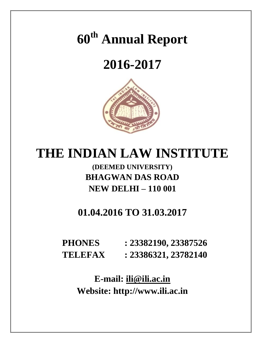# **60th Annual Report**

# **2016-2017**



# **THE INDIAN LAW INSTITUTE**

# **(DEEMED UNIVERSITY) BHAGWAN DAS ROAD NEW DELHI – 110 001**

# **01.04.2016 TO 31.03.2017**

**PHONES : 23382190, 23387526 TELEFAX : 23386321, 23782140**

> **E-mail: [ili@ili.ac.in](mailto:ili@ili.ac.in) Website: http://www.ili.ac.in**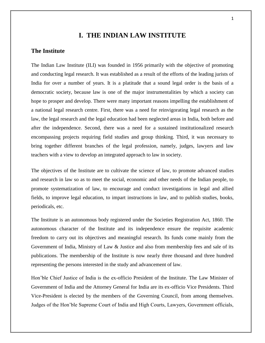# **I. THE INDIAN LAW INSTITUTE**

# **The Institute**

The Indian Law Institute (ILI) was founded in 1956 primarily with the objective of promoting and conducting legal research. It was established as a result of the efforts of the leading jurists of India for over a number of years. It is a platitude that a sound legal order is the basis of a democratic society, because law is one of the major instrumentalities by which a society can hope to prosper and develop. There were many important reasons impelling the establishment of a national legal research centre. First, there was a need for reinvigorating legal research as the law, the legal research and the legal education had been neglected areas in India, both before and after the independence. Second, there was a need for a sustained institutionalized research encompassing projects requiring field studies and group thinking. Third, it was necessary to bring together different branches of the legal profession, namely, judges, lawyers and law teachers with a view to develop an integrated approach to law in society.

The objectives of the Institute are to cultivate the science of law, to promote advanced studies and research in law so as to meet the social, economic and other needs of the Indian people, to promote systematization of law, to encourage and conduct investigations in legal and allied fields, to improve legal education, to impart instructions in law, and to publish studies, books, periodicals, etc.

The Institute is an autonomous body registered under the Societies Registration Act, 1860. The autonomous character of the Institute and its independence ensure the requisite academic freedom to carry out its objectives and meaningful research. Its funds come mainly from the Government of India, Ministry of Law & Justice and also from membership fees and sale of its publications. The membership of the Institute is now nearly three thousand and three hundred representing the persons interested in the study and advancement of law.

Hon'ble Chief Justice of India is the ex-officio President of the Institute. The Law Minister of Government of India and the Attorney General for India are its ex-officio Vice Presidents. Third Vice-President is elected by the members of the Governing Council, from among themselves. Judges of the Hon'ble Supreme Court of India and High Courts, Lawyers, Government officials,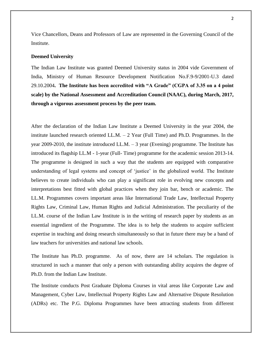Vice Chancellors, Deans and Professors of Law are represented in the Governing Council of the Institute.

#### **Deemed University**

The Indian Law Institute was granted Deemed University status in 2004 vide Government of India, Ministry of Human Resource Development Notification No.F.9-9/2001-U.3 dated 29.10.2004**. The Institute has been accredited with "A Grade" (CGPA of 3.35 on a 4 point scale) by the National Assessment and Accreditation Council (NAAC), during March, 2017, through a vigorous assessment process by the peer team.**

After the declaration of the Indian Law Institute a Deemed University in the year 2004, the institute launched research oriented LL.M. – 2 Year (Full Time) and Ph.D. Programmes. In the year 2009-2010, the institute introduced LL.M. – 3 year (Evening) programme. The Institute has introduced its flagship LL.M - 1**-**year (Full- Time) programme for the academic session 2013-14. The programme is designed in such a way that the students are equipped with comparative understanding of legal systems and concept of 'justice' in the globalized world. The Institute believes to create individuals who can play a significant role in evolving new concepts and interpretations best fitted with global practices when they join bar, bench or academic. The LL.M. Programmes covers important areas like International Trade Law, Intellectual Property Rights Law, Criminal Law, Human Rights and Judicial Administration. The peculiarity of the LL.M. course of the Indian Law Institute is in the writing of research paper by students as an essential ingredient of the Programme. The idea is to help the students to acquire sufficient expertise in teaching and doing research simultaneously so that in future there may be a band of law teachers for universities and national law schools.

The Institute has Ph.D. programme. As of now, there are 14 scholars. The regulation is structured in such a manner that only a person with outstanding ability acquires the degree of Ph.D. from the Indian Law Institute.

The Institute conducts Post Graduate Diploma Courses in vital areas like Corporate Law and Management, Cyber Law, Intellectual Property Rights Law and Alternative Dispute Resolution (ADRs) etc. The P.G. Diploma Programmes have been attracting students from different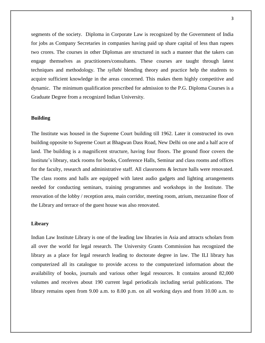segments of the society. Diploma in Corporate Law is recognized by the Government of India for jobs as Company Secretaries in companies having paid up share capital of less than rupees two crores. The courses in other Diplomas are structured in such a manner that the takers can engage themselves as practitioners/consultants. These courses are taught through latest techniques and methodology. The *syllabi* blending theory and practice help the students to acquire sufficient knowledge in the areas concerned. This makes them highly competitive and dynamic. The minimum qualification prescribed for admission to the P.G. Diploma Courses is a Graduate Degree from a recognized Indian University.

# **Building**

The Institute was housed in the Supreme Court building till 1962. Later it constructed its own building opposite to Supreme Court at Bhagwan Dass Road, New Delhi on one and a half acre of land. The building is a magnificent structure, having four floors. The ground floor covers the Institute's library, stack rooms for books, Conference Halls, Seminar and class rooms and offices for the faculty, research and administrative staff. All classrooms & lecture halls were renovated. The class rooms and halls are equipped with latest audio gadgets and lighting arrangements needed for conducting seminars, training programmes and workshops in the Institute. The renovation of the lobby / reception area, main corridor, meeting room, atrium, mezzanine floor of the Library and terrace of the guest house was also renovated.

# **Library**

Indian Law Institute Library is one of the leading law libraries in Asia and attracts scholars from all over the world for legal research. The University Grants Commission has recognized the library as a place for legal research leading to doctorate degree in law. The ILI library has computerized all its catalogue to provide access to the computerized information about the availability of books, journals and various other legal resources. It contains around 82,000 volumes and receives about 190 current legal periodicals including serial publications. The library remains open from 9.00 a.m. to 8.00 p.m. on all working days and from 10.00 a.m. to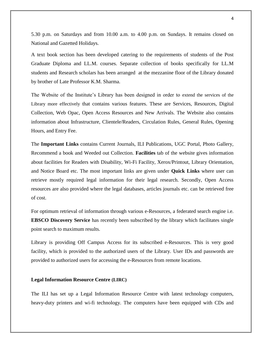5.30 p.m. on Saturdays and from 10.00 a.m. to 4.00 p.m. on Sundays. It remains closed on National and Gazetted Holidays.

A text book section has been developed catering to the requirements of students of the Post Graduate Diploma and LL.M. courses. Separate collection of books specifically for LL.M students and Research scholars has been arranged at the mezzanine floor of the Library donated by brother of Late Professor K.M. Sharma.

The Website of the Institute's Library has been designed in order to extend the services of the Library more effectively that contains various features. These are Services, Resources, Digital Collection, Web Opac, Open Access Resources and New Arrivals. The Website also contains information about Infrastructure, Clientele/Readers, Circulation Rules, General Rules, Opening Hours, and Entry Fee.

The **Important Links** contains Current Journals, ILI Publications, UGC Portal, Photo Gallery, Recommend a book and Weeded out Collection. **Facilities** tab of the website gives information about facilities for Readers with Disability, Wi-Fi Facility, Xerox/Printout, Library Orientation, and Notice Board etc. The most important links are given under **Quick Links** where user can retrieve mostly required legal information for their legal research. Secondly, Open Access resources are also provided where the legal databases, articles journals etc. can be retrieved free of cost.

For optimum retrieval of information through various e-Resources, a federated search engine i.e. **EBSCO Discovery Service** has recently been subscribed by the library which facilitates single point search to maximum results.

Library is providing Off Campus Access for its subscribed e-Resources. This is very good facility, which is provided to the authorized users of the Library. User IDs and passwords are provided to authorized users for accessing the e-Resources from remote locations.

# **Legal Information Resource Centre (LIRC)**

The ILI has set up a Legal Information Resource Centre with latest technology computers, heavy-duty printers and wi-fi technology. The computers have been equipped with CDs and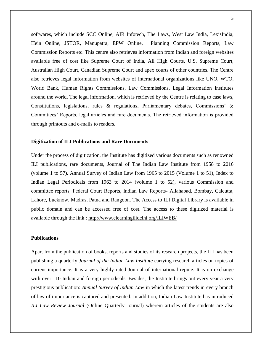softwares, which include SCC Online, AIR Infotech, The Laws, West Law India, LexisIndia, Hein Online, JSTOR, Manupatra, EPW Online, Planning Commission Reports, Law Commission Reports etc. This centre also retrieves information from Indian and foreign websites available free of cost like Supreme Court of India, All High Courts, U.S. Supreme Court, Australian High Court, Canadian Supreme Court and apex courts of other countries. The Centre also retrieves legal information from websites of international organizations like UNO, WTO, World Bank, Human Rights Commissions, Law Commissions, Legal Information Institutes around the world. The legal information, which is retrieved by the Centre is relating to case laws, Constitutions, legislations, rules & regulations, Parliamentary debates, Commissions' & Committees' Reports, legal articles and rare documents. The retrieved information is provided through printouts and e-mails to readers.

# **Digitization of ILI Publications and Rare Documents**

Under the process of digitization, the Institute has digitized various documents such as renowned ILI publications, rare documents, Journal of The Indian Law Institute from 1958 to 2016 (volume 1 to 57), Annual Survey of Indian Law from 1965 to 2015 (Volume 1 to 51), Index to Indian Legal Periodicals from 1963 to 2014 (volume 1 to 52), various Commission and committee reports, Federal Court Reports, Indian Law Reports- Allahabad, Bombay, Calcutta, Lahore, Lucknow, Madras, Patna and Rangoon. The Access to ILI Digital Library is available in public domain and can be accessed free of cost. The access to these digitized material is available through the link :<http://www.elearningilidelhi.org/ILIWEB/>

# **Publications**

Apart from the publication of books, reports and studies of its research projects, the ILI has been publishing a quarterly *Journal of the Indian Law Institute* carrying research articles on topics of current importance. It is a very highly rated Journal of international repute. It is on exchange with over 110 Indian and foreign periodicals. Besides, the Institute brings out every year a very prestigious publication: *Annual Survey of Indian Law* in which the latest trends in every branch of law of importance is captured and presented. In addition, Indian Law Institute has introduced *ILI Law Review Journal* (Online Quarterly Journal) wherein articles of the students are also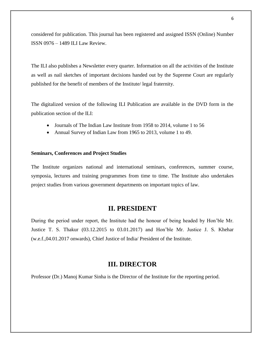considered for publication. This journal has been registered and assigned ISSN (Online) Number ISSN 0976 – 1489 ILI Law Review.

The ILI also publishes a Newsletter every quarter. Information on all the activities of the Institute as well as nail sketches of important decisions handed out by the Supreme Court are regularly published for the benefit of members of the Institute/ legal fraternity.

The digitalized version of the following ILI Publication are available in the DVD form in the publication section of the ILI:

- Journals of The Indian Law Institute from 1958 to 2014, volume 1 to 56
- Annual Survey of Indian Law from 1965 to 2013, volume 1 to 49.

### **Seminars, Conferences and Project Studies**

The Institute organizes national and international seminars, conferences, summer course, symposia, lectures and training programmes from time to time. The Institute also undertakes project studies from various government departments on important topics of law.

# **II. PRESIDENT**

During the period under report, the Institute had the honour of being headed by Hon'ble Mr. Justice T. S. Thakur (03.12.2015 to 03.01.2017) and Hon'ble Mr. Justice J. S. Khehar (w.e.f.,04.01.2017 onwards), Chief Justice of India/ President of the Institute.

# **III. DIRECTOR**

Professor (Dr.) Manoj Kumar Sinha is the Director of the Institute for the reporting period.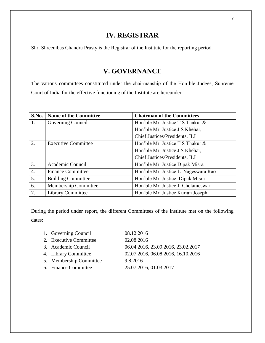# **IV. REGISTRAR**

Shri Shreenibas Chandra Prusty is the Registrar of the Institute for the reporting period.

# **V. GOVERNANCE**

The various committees constituted under the chairmanship of the Hon'ble Judges, Supreme Court of India for the effective functioning of the Institute are hereunder:

| <b>S.No.</b> | <b>Name of the Committee</b> | <b>Chairman of the Committees</b>     |
|--------------|------------------------------|---------------------------------------|
| 1.           | Governing Council            | Hon'ble Mr. Justice $T S$ Thakur $\&$ |
|              |                              | Hon'ble Mr. Justice J S Khehar,       |
|              |                              | Chief Justices/Presidents, ILI        |
| 2.           | <b>Executive Committee</b>   | Hon'ble Mr. Justice T S Thakur &      |
|              |                              | Hon'ble Mr. Justice J S Khehar,       |
|              |                              | Chief Justices/Presidents, ILI        |
| 3.           | Academic Council             | Hon'ble Mr. Justice Dipak Misra       |
| 4.           | <b>Finance Committee</b>     | Hon'ble Mr. Justice L. Nageswara Rao  |
| 5.           | <b>Building Committee</b>    | Hon'ble Mr. Justice Dipak Misra       |
| 6.           | Membership Committee         | Hon'ble Mr. Justice J. Chelameswar    |
| 7.           | <b>Library Committee</b>     | Hon'ble Mr. Justice Kurian Joseph     |

During the period under report, the different Committees of the Institute met on the following dates:

| 1. Governing Council    | 08.12.2016                         |
|-------------------------|------------------------------------|
| 2. Executive Committee  | 02.08.2016                         |
| 3. Academic Council     | 06.04.2016, 23.09.2016, 23.02.2017 |
| 4. Library Committee    | 02.07.2016, 06.08.2016, 16.10.2016 |
| 5. Membership Committee | 9.8.2016                           |
| 6. Finance Committee    | 25.07.2016, 01.03.2017             |
|                         |                                    |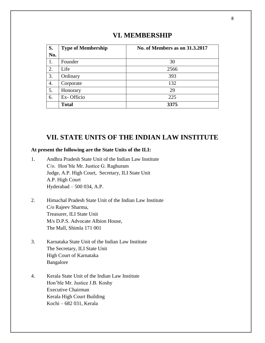# **VI. MEMBERSHIP**

| S.  | <b>Type of Membership</b> | <b>No. of Members as on 31.3.2017</b> |
|-----|---------------------------|---------------------------------------|
| No. |                           |                                       |
| 1.  | Founder                   | 30                                    |
| 2.  | Life                      | 2566                                  |
| 3.  | Ordinary                  | 393                                   |
| 4.  | Corporate                 | 132                                   |
| 5.  | Honorary                  | 29                                    |
| 6.  | Ex-Officio                | 225                                   |
|     | <b>Total</b>              | 3375                                  |

# **VII. STATE UNITS OF THE INDIAN LAW INSTITUTE**

# **At present the following are the State Units of the ILI:**

- 1. Andhra Pradesh State Unit of the Indian Law Institute C/o. Hon'ble Mr. Justice G. Raghuram Judge, A.P. High Court, Secretary, ILI State Unit A.P. High Court Hyderabad – 500 034, A.P.
- 2. Himachal Pradesh State Unit of the Indian Law Institute C/o Rajeev Sharma, Treasurer, ILI State Unit M/s D.P.S. Advocate Albion House, The Mall, Shimla 171 001
- 3. Karnataka State Unit of the Indian Law Institute The Secretary, ILI State Unit High Court of Karnataka Bangalore
- 4. Kerala State Unit of the Indian Law Institute Hon'ble Mr. Justice J.B. Koshy Executive Chairman Kerala High Court Building Kochi – 682 031, Kerala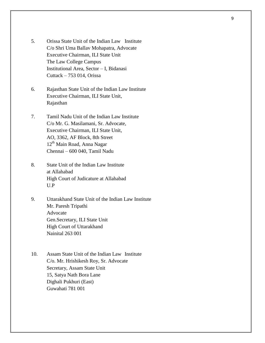- 5. Orissa State Unit of the Indian Law Institute C/o Shri Uma Ballav Mohapatra, Advocate Executive Chairman, ILI State Unit The Law College Campus Institutional Area, Sector – I, Bidanasi Cuttack – 753 014, Orissa
- 6. Rajasthan State Unit of the Indian Law Institute Executive Chairman, ILI State Unit, Rajasthan
- 7. Tamil Nadu Unit of the Indian Law Institute C/o Mr. G. Masilamani, Sr. Advocate, Executive Chairman, ILI State Unit, AO, 3362, AF Block, 8th Street 12<sup>th</sup> Main Road, Anna Nagar Chennai – 600 040, Tamil Nadu
- 8. State Unit of the Indian Law Institute at Allahabad High Court of Judicature at Allahabad U.P
- 9. Uttarakhand State Unit of the Indian Law Institute Mr. Paresh Tripathi Advocate Gen.Secretary, ILI State Unit High Court of Uttarakhand Nainital 263 001
- 10. Assam State Unit of the Indian Law Institute C/o. Mr. Hrishikesh Roy, Sr. Advocate Secretary, Assam State Unit 15, Satya Nath Bora Lane Dighali Pukhuri (East) Guwahati 781 001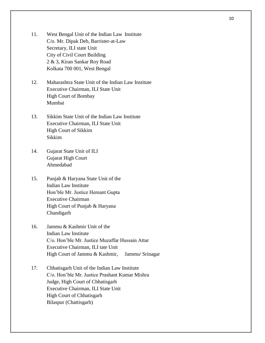- 11. West Bengal Unit of the Indian Law Institute C/o. Mr. Dipak Deb, Barrister-at-Law Secretary, ILI state Unit City of Civil Court Building 2 & 3, Kiran Sankar Roy Road Kolkata 700 001, West Bengal
- 12. Maharashtra State Unit of the Indian Law Institute Executive Chairman, ILI State Unit High Court of Bombay Mumbai
- 13. Sikkim State Unit of the Indian Law Institute Executive Chairman, ILI State Unit High Court of Sikkim Sikkim
- 14. Gujarat State Unit of ILI Gujarat High Court Ahmedabad
- 15. Punjab & Haryana State Unit of the Indian Law Institute Hon'ble Mr. Justice Hemant Gupta Executive Chairman High Court of Punjab & Haryana Chandigarh
- 16. Jammu & Kashmir Unit of the Indian Law Institute C/o. Hon'ble Mr. Justice Muzaffar Hussain Attar Executive Chairman, ILI tate Unit High Court of Jammu & Kashmir, Jammu/ Srinagar
- 17. Chhatisgarh Unit of the Indian Law Institute C/o. Hon'ble Mr. Justice Prashant Kumar Mishra Judge, High Court of Chhatisgarh Executive Chairman, ILI State Unit High Court of Chhatisgarh Bilaspur (Chattisgarh)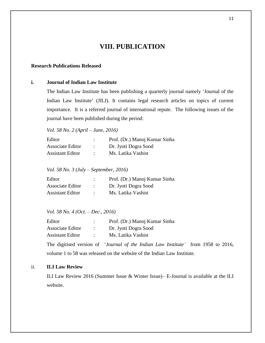# **VIII. PUBLICATION**

# **Research Publications Released**

# **i. Journal of Indian Law Institute**

The Indian Law Institute has been publishing a quarterly journal namely 'Journal of the Indian Law Institute' (JILI). It contains legal research articles on topics of current importance. It is a referred journal of international repute. The following issues of the journal have been published during the period:

*Vol. 58 No. 2 (April – June, 2016)*

| Editor                  | Prof. (Dr.) Manoj Kumar Sinha |
|-------------------------|-------------------------------|
| Associate Editor        | Dr. Jyoti Dogra Sood          |
| <b>Assistant Editor</b> | Ms. Latika Vashist            |

*Vol. 58 No. 3 (July – September, 2016)*

| Editor                  | Prof. (Dr.) Manoj Kumar Sinha |
|-------------------------|-------------------------------|
| Associate Editor        | Dr. Jyoti Dogra Sood          |
| <b>Assistant Editor</b> | Ms. Latika Vashist            |

*Vol. 58 No. 4 (Oct. – Dec., 2016)*

| Editor           | Prof. (Dr.) Manoj Kumar Sinha |
|------------------|-------------------------------|
| Associate Editor | Dr. Jyoti Dogra Sood          |
| Assistant Editor | Ms. Latika Vashist            |

The digitised version of '*Journal of the Indian Law Institute'* from 1958 to 2016, volume 1 to 58 was released on the website of the Indian Law Institute.

# ii. **ILI Law Review**

ILI Law Review 2016 (Summer Issue & Winter Issue)– E-Journal is available at the ILI website.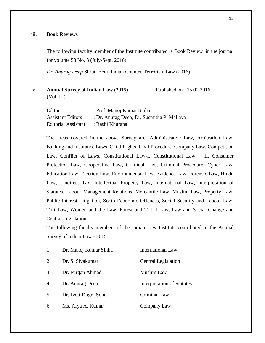# iii. **Book Reviews**

The following faculty member of the Institute contributed a Book Review in the journal for volume 58 No. 3 (July-Sept. 2016):

*Dr. Anurag Deep* Shruti Bedi, Indian Counter-Terrorism Law (2016)

iv. **Annual Survey of Indian Law (2015)** Published on 15.02.2016 (Vol: LI)

Editor : Prof. Manoj Kumar Sinha Assistant Editors : Dr. Anurag Deep, Dr. Susmitha P. Mallaya Editorial Assistant : Rashi Khurana

The areas covered in the above Survey are: Administrative Law, Arbitration Law, Banking and Insurance Laws, Child Rights, Civil Procedure, Company Law, Competition Law, Conflict of Laws, Constitutional Law-I, Constitutional Law – II, Consumer Protection Law, Cooperative Law, Criminal Law, Criminal Procedure, Cyber Law, Education Law, Election Law, Environmental Law, Evidence Law, Forensic Law, Hindu Law, Indirect Tax, Intellectual Property Law, International Law, Interpretation of Statutes, Labour Management Relations, Mercantile Law, Muslim Law, Property Law, Public Interest Litigation, Socio Economic Offences, Social Security and Labour Law, Tort Law, Women and the Law, Forest and Tribal Law, Law and Social Change and Central Legislation.

The following faculty members of the Indian Law Institute contributed to the Annual Survey of Indian Law - 2015:

| 1. | Dr. Manoj Kumar Sinha | <b>International Law</b>   |
|----|-----------------------|----------------------------|
| 2. | Dr. S. Sivakumar      | <b>Central Legislation</b> |
| 3. | Dr. Furqan Ahmad      | <b>Muslim Law</b>          |
| 4. | Dr. Anurag Deep       | Interpretation of Statutes |
| 5. | Dr. Jyoti Dogra Sood  | Criminal Law               |
| 6. | Ms. Arya A. Kumar     | Company Law                |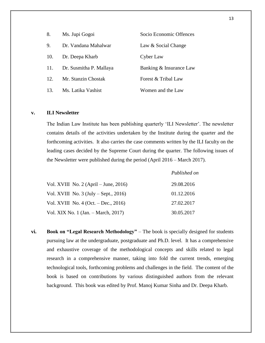| 8.              | Ms. Jupi Gogoi          | Socio Economic Offences |
|-----------------|-------------------------|-------------------------|
| 9.              | Dr. Vandana Mahalwar    | Law & Social Change     |
| 10.             | Dr. Deepa Kharb         | Cyber Law               |
| 11.             | Dr. Susmitha P. Mallaya | Banking & Insurance Law |
| 12 <sub>1</sub> | Mr. Stanzin Chostak     | Forest & Tribal Law     |
| 13.             | Ms. Latika Vashist      | Women and the Law       |

# **v. ILI Newsletter**

The Indian Law Institute has been publishing quarterly 'ILI Newsletter'. The newsletter contains details of the activities undertaken by the Institute during the quarter and the forthcoming activities. It also carries the case comments written by the ILI faculty on the leading cases decided by the Supreme Court during the quarter. The following issues of the Newsletter were published during the period (April 2016 – March 2017).

|                                                 | Published on |
|-------------------------------------------------|--------------|
| Vol. XVIII No. $2 \times (April - June, 2016)$  | 29.08.2016   |
| Vol. XVIII No. $3 \text{ (July - Sept., 2016)}$ | 01.12.2016   |
| Vol. XVIII No. $4$ (Oct. – Dec., 2016)          | 27.02.2017   |
| Vol. XIX No. 1 (Jan. – March, 2017)             | 30.05.2017   |

**vi. Book on "Legal Research Methodology"** – The book is specially designed for students pursuing law at the undergraduate, postgraduate and Ph.D. level. It has a comprehensive and exhaustive coverage of the methodological concepts and skills related to legal research in a comprehensive manner, taking into fold the current trends, emerging technological tools, forthcoming problems and challenges in the field. The content of the book is based on contributions by various distinguished authors from the relevant background. This book was edited by Prof. Manoj Kumar Sinha and Dr. Deepa Kharb.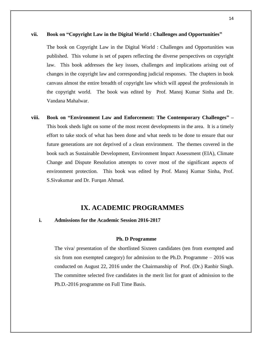#### **vii. Book on "Copyright Law in the Digital World : Challenges and Opportunities"**

The book on Copyright Law in the Digital World : Challenges and Opportunities was published. This volume is set of papers reflecting the diverse perspectives on copyright law. This book addresses the key issues, challenges and implications arising out of changes in the copyright law and corresponding judicial responses. The chapters in book canvass almost the entire breadth of copyright law which will appeal the professionals in the copyright world. The book was edited by Prof. Manoj Kumar Sinha and Dr. Vandana Mahalwar.

**viii. Book on "Environment Law and Enforcement: The Contemporary Challenges" –** This book sheds light on some of the most recent developments in the area. It is a timely effort to take stock of what has been done and what needs to be done to ensure that our future generations are not deprived of a clean environment. The themes covered in the book such as Sustainable Development, Environment Impact Assessment (EIA), Climate Change and Dispute Resolution attempts to cover most of the significant aspects of environment protection. This book was edited by Prof. Manoj Kumar Sinha, Prof. S.Sivakumar and Dr. Furqan Ahmad.

# **IX. ACADEMIC PROGRAMMES**

# **i. Admissions for the Academic Session 2016-2017**

#### **Ph. D Programme**

The viva/ presentation of the shortlisted Sixteen candidates (ten from exempted and six from non exempted category) for admission to the Ph.D. Programme – 2016 was conducted on August 22, 2016 under the Chairmanship of Prof. (Dr.) Ranbir Singh. The committee selected five candidates in the merit list for grant of admission to the Ph.D.-2016 programme on Full Time Basis.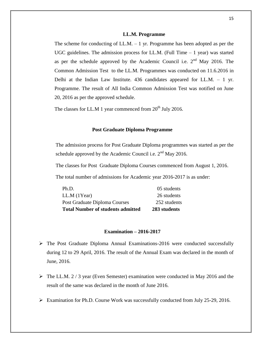#### **LL.M. Programme**

The scheme for conducting of LL.M. – 1 yr. Programme has been adopted as per the UGC guidelines. The admission process for LL.M. (Full Time  $-1$  year) was started as per the schedule approved by the Academic Council i.e.  $2<sup>nd</sup>$  May 2016. The Common Admission Test to the LL.M. Programmes was conducted on 11.6.2016 in Delhi at the Indian Law Institute. 436 candidates appeared for LL.M. – 1 yr. Programme. The result of All India Common Admission Test was notified on June 20, 2016 as per the approved schedule.

The classes for LL.M 1 year commenced from  $20^{th}$  July 2016.

### **Post Graduate Diploma Programme**

The admission process for Post Graduate Diploma programmes was started as per the schedule approved by the Academic Council i.e.  $2<sup>nd</sup>$  May 2016.

The classes for Post Graduate Diploma Courses commenced from August 1, 2016.

The total number of admissions for Academic year 2016-2017 is as under:

| <b>Total Number of students admitted</b> | 283 students |
|------------------------------------------|--------------|
| Post Graduate Diploma Courses            | 252 students |
| LL.M (1Year)                             | 26 students  |
| Ph.D.                                    | 05 students  |

# **Examination – 2016-2017**

- $\triangleright$  The Post Graduate Diploma Annual Examinations-2016 were conducted successfully during 12 to 29 April, 2016. The result of the Annual Exam was declared in the month of June, 2016.
- $\triangleright$  The LL.M. 2 / 3 year (Even Semester) examination were conducted in May 2016 and the result of the same was declared in the month of June 2016.
- Examination for Ph.D. Course Work was successfully conducted from July 25-29, 2016.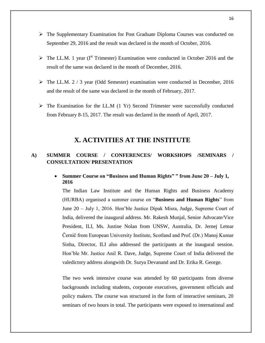- $\triangleright$  The Supplementary Examination for Post Graduate Diploma Courses was conducted on September 29, 2016 and the result was declared in the month of October, 2016.
- $\triangleright$  The LL.M. 1 year (I<sup>st</sup> Trimester) Examination were conducted in October 2016 and the result of the same was declared in the month of December, 2016.
- $\triangleright$  The LL.M. 2 / 3 year (Odd Semester) examination were conducted in December, 2016 and the result of the same was declared in the month of February, 2017.
- $\triangleright$  The Examination for the LL.M (1 Yr) Second Trimester were successfully conducted from February 8-15, 2017. The result was declared in the month of April, 2017.

# **X. ACTIVITIES AT THE INSTITUTE**

# **A) SUMMER COURSE / CONFERENCES/ WORKSHOPS /SEMINARS / CONSULTATION/ PRESENTATION**

# **Summer Course on "Business and Human Rights" " from June 20 – July 1, 2016**

The Indian Law Institute and the Human Rights and Business Academy (HURBA) organised a summer course on "**Business and Human Rights**" from June 20 – July 1, 2016. Hon'ble Justice Dipak Misra, Judge, Supreme Court of India, delivered the inaugural address. Mr. Rakesh Munjal, Senior Advocate/Vice President, ILI, Ms. Justine Nolan from UNSW, Australia, Dr. Jernej Letnar Černič from European University Institute, Scotland and Prof. (Dr.) Manoj Kumar Sinha, Director, ILI also addressed the participants at the inaugural session. Hon'ble Mr. Justice Anil R. Dave, Judge, Supreme Court of India delivered the valedictory address alongwith Dr. Surya Devanand and Dr. Erika R. George.

The two week intensive course was attended by 60 participants from diverse backgrounds including students, corporate executives, government officials and policy makers. The course was structured in the form of interactive seminars, 20 seminars of two hours in total. The participants were exposed to international and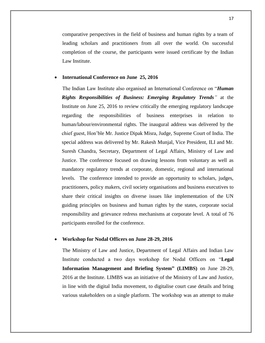comparative perspectives in the field of business and human rights by a team of leading scholars and practitioners from all over the world. On successful completion of the course, the participants were issued certificate by the Indian Law Institute.

#### **International Conference on June 25, 2016**

The Indian Law Institute also organised an International Conference on "*Human Rights Responsibilities of Business: Emerging Regulatory Trends"* at the Institute on June 25, 2016 to review critically the emerging regulatory landscape regarding the responsibilities of business enterprises in relation to human/labour/environmental rights. The inaugural address was delivered by the chief guest, Hon'ble Mr. Justice Dipak Misra, Judge, Supreme Court of India. The special address was delivered by Mr. Rakesh Munjal, Vice President, ILI and Mr. Suresh Chandra, Secretary, Department of Legal Affairs, Ministry of Law and Justice. The conference focused on drawing lessons from voluntary as well as mandatory regulatory trends at corporate, domestic, regional and international levels. The conference intended to provide an opportunity to scholars, judges, practitioners, policy makers, civil society organisations and business executives to share their critical insights on diverse issues like implementation of the UN guiding principles on business and human rights by the states, corporate social responsibility and grievance redress mechanisms at corporate level. A total of 76 participants enrolled for the conference.

# **Workshop for Nodal Officers on June 28-29, 2016**

The Ministry of Law and Justice, Department of Legal Affairs and Indian Law Institute conducted a two days workshop for Nodal Officers on "**Legal Information Management and Briefing System" (LIMBS)** on June 28-29, 2016 at the Institute. LIMBS was an initiative of the Ministry of Law and Justice, in line with the digital India movement, to digitalise court case details and bring various stakeholders on a single platform. The workshop was an attempt to make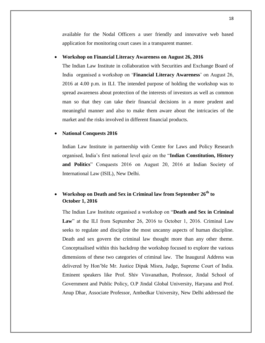available for the Nodal Officers a user friendly and innovative web based application for monitoring court cases in a transparent manner.

# **Workshop on Financial Literacy Awareness on August 26, 2016**

The Indian Law Institute in collaboration with Securities and Exchange Board of India organised a workshop on '**Financial Literacy Awareness**' on August 26, 2016 at 4.00 p.m. in ILI. The intended purpose of holding the workshop was to spread awareness about protection of the interests of investors as well as common man so that they can take their financial decisions in a more prudent and meaningful manner and also to make them aware about the intricacies of the market and the risks involved in different financial products.

### **National Conquests 2016**

Indian Law Institute in partnership with Centre for Laws and Policy Research organised, India's first national level quiz on the "**Indian Constitution, History and Politics**" Conquests 2016 on August 20, 2016 at Indian Society of International Law (ISIL), New Delhi.

# **Workshop on Death and Sex in Criminal law from September 26th to October 1, 2016**

The Indian Law Institute organised a workshop on "**Death and Sex in Criminal**  Law" at the ILI from September 26, 2016 to October 1, 2016. Criminal Law seeks to regulate and discipline the most uncanny aspects of human discipline. Death and sex govern the criminal law thought more than any other theme. Conceptualised within this backdrop the workshop focused to explore the various dimensions of these two categories of criminal law. The Inaugural Address was delivered by Hon'ble Mr. Justice Dipak Misra, Judge, Supreme Court of India. Eminent speakers like Prof. Shiv Visvanathan, Professor, Jindal School of Government and Public Policy, O.P Jindal Global University, Haryana and Prof. Anup Dhar, Associate Professor, Ambedkar University, New Delhi addressed the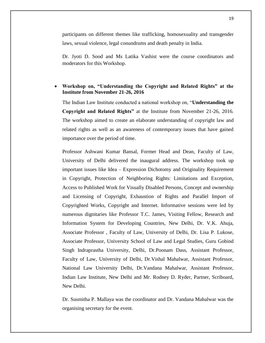participants on different themes like trafficking, homosexuality and transgender laws, sexual violence, legal conundrums and death penalty in India.

Dr. Jyoti D. Sood and Ms Latika Vashist were the course coordinators and moderators for this Workshop.

# **Workshop on, "Understanding the Copyright and Related Rights" at the Institute from November 21-26, 2016**

The Indian Law Institute conducted a national workshop on, "**Understanding the Copyright and Related Rights"** at the Institute from November 21-26, 2016. The workshop aimed to create an elaborate understanding of copyright law and related rights as well as an awareness of contemporary issues that have gained importance over the period of time.

Professor Ashwani Kumar Bansal, Former Head and Dean, Faculty of Law, University of Delhi delivered the inaugural address. The workshop took up important issues like Idea – Expression Dichotomy and Originality Requirement in Copyright, Protection of Neighboring Rights: Limitations and Exception, Access to Published Work for Visually Disabled Persons, Concept and ownership and Licensing of Copyright, Exhaustion of Rights and Parallel Import of Copyrighted Works, Copyright and Internet. Informative sessions were led by numerous dignitaries like Professor T.C. James, Visiting Fellow, Research and Information System for Developing Countries, New Delhi, Dr. V.K. Ahuja, Associate Professor , Faculty of Law, University of Delhi, Dr. Lisa P. Lukose, Associate Professor, University School of Law and Legal Studies, Guru Gobind Singh Indraprastha University, Delhi, Dr.Poonam Dass, Assistant Professor, Faculty of Law, University of Delhi, Dr.Vishal Mahalwar, Assistant Professor, National Law University Delhi, Dr.Vandana Mahalwar, Assistant Professor, Indian Law Institute, New Delhi and Mr. Rodney D. Ryder, Partner, Scriboard, New Delhi.

Dr. Susmitha P. Mallaya was the coordinator and Dr. Vandana Mahalwar was the organising secretary for the event.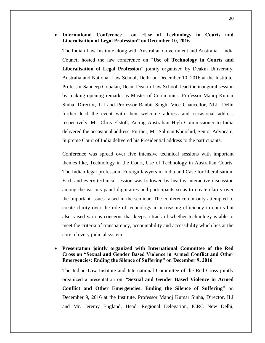# **International Conference on "Use of Technology in Courts and Liberalisation of Legal Profession" on December 10, 2016**

The Indian Law Institute along with Australian Government and Australia – India Council hosted the law conference on "**Use of Technology in Courts and Liberalisation of Legal Profession**" jointly organized by Deakin University, Australia and National Law School, Delhi on December 10, 2016 at the Institute. Professor Sandeep Gopalan, Dean, Deakin Law School lead the inaugural session by making opening remarks as Master of Ceremonies. Professor Manoj Kumar Sinha, Director, ILI and Professor Ranbir Singh, Vice Chancellor, NLU Delhi further lead the event with their welcome address and occasional address respectively. Mr. Chris Elstoft, Acting Australian High Commissioner to India delivered the occasional address. Further, Mr. Salman Khurshid, Senior Advocate, Supreme Court of India delivered his Presidential address to the participants.

Conference was spread over five intensive technical sessions with important themes like, Technology in the Court, Use of Technology in Australian Courts, The Indian legal profession, Foreign lawyers in India and Case for liberalisation. Each and every technical session was followed by healthy interactive discussion among the various panel dignitaries and participants so as to create clarity over the important issues raised in the seminar. The conference not only attempted to create clarity over the role of technology in increasing efficiency in courts but also raised various concerns that keeps a track of whether technology is able to meet the criteria of transparency, accountability and accessibility which lies at the core of every judicial system.

 **Presentation jointly organized with International Committee of the Red Cross on "Sexual and Gender Based Violence in Armed Conflict and Other Emergencies: Ending the Silence of Suffering" on December 9, 2016**

The Indian Law Institute and International Committee of the Red Cross jointly organized a presentation on, "**Sexual and Gender Based Violence in Armed Conflict and Other Emergencies: Ending the Silence of Suffering**" on December 9, 2016 at the Institute. Professor Manoj Kumar Sinha, Director, ILI and Mr. Jeremy England, Head, Regional Delegation, ICRC New Delhi,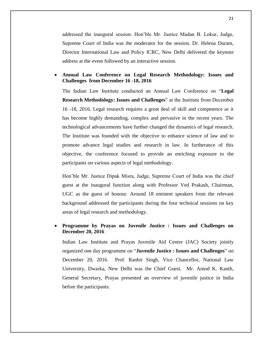addressed the inaugural session. Hon'ble Mr. Justice Madan B. Lokur, Judge, Supreme Court of India was the moderator for the session. Dr. Helena Duram, Director International Law and Policy ICRC, New Delhi delivered the keynote address at the event followed by an interactive session.

# **Annual Law Conference on Legal Research Methodology: Issues and Challenges from December 16 -18, 2016**

The Indian Law Institute conducted an Annual Law Conference on "**Legal Research Methodology: Issues and Challenges**" at the Institute from December 16 -18, 2016. Legal research requires a great deal of skill and competence as it has become highly demanding, complex and pervasive in the recent years. The technological advancements have further changed the dynamics of legal research. The Institute was founded with the objective to enhance science of law and to promote advance legal studies and research in law. In furtherance of this objective, the conference focused to provide an enriching exposure to the participants on various aspects of legal methodology.

Hon'ble Mr. Justice Dipak Misra, Judge, Supreme Court of India was the chief guest at the inaugural function along with Professor Ved Prakash, Chairman, UGC as the guest of honour. Around 18 eminent speakers from the relevant background addressed the participants during the four technical sessions on key areas of legal research and methodology.

# **Programme by Prayas on Juvenile Justice : Issues and Challenges on December 20, 2016**

Indian Law Institute and Prayas Juvenile Aid Centre (JAC) Society jointly organized one day programme on "**Juvenile Justice : Issues and Challenges**" on December 20, 2016. Prof. Ranbir Singh, Vice Chancellor, National Law University, Dwarka, New Delhi was the Chief Guest. Mr. Amod K. Kanth, General Secretary, Prayas presented an overview of juvenile justice in India before the participants.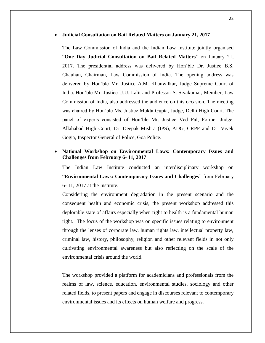#### **Judicial Consultation on Bail Related Matters on January 21, 2017**

The Law Commission of India and the Indian Law Institute jointly organised "**One Day Judicial Consultation on Bail Related Matters**" on January 21, 2017. The presidential address was delivered by Hon'ble Dr. Justice B.S. Chauhan, Chairman, Law Commission of India. The opening address was delivered by Hon'ble Mr. Justice A.M. Khanwilkar, Judge Supreme Court of India. Hon'ble Mr. Justice U.U. Lalit and Professor S. Sivakumar, Member, Law Commission of India, also addressed the audience on this occasion. The meeting was chaired by Hon'ble Ms. Justice Mukta Gupta, Judge, Delhi High Court. The panel of experts consisted of Hon'ble Mr. Justice Ved Pal, Former Judge, Allahabad High Court, Dr. Deepak Mishra (IPS), ADG, CRPF and Dr. Vivek Gogia, Inspector General of Police, Goa Police.

# **National Workshop on Environmental Laws: Contemporary Issues and Challenges from February 6- 11, 2017**

The Indian Law Institute conducted an interdisciplinary workshop on "**Environmental Laws: Contemporary Issues and Challenges**" from February 6- 11, 2017 at the Institute.

Considering the environment degradation in the present scenario and the consequent health and economic crisis, the present workshop addressed this deplorable state of affairs especially when right to health is a fundamental human right. The focus of the workshop was on specific issues relating to environment through the lenses of corporate law, human rights law, intellectual property law, criminal law, history, philosophy, religion and other relevant fields in not only cultivating environmental awareness but also reflecting on the scale of the environmental crisis around the world.

The workshop provided a platform for academicians and professionals from the realms of law, science, education, environmental studies, sociology and other related fields, to present papers and engage in discourses relevant to contemporary environmental issues and its effects on human welfare and progress.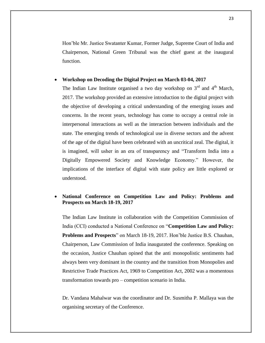Hon'ble Mr. Justice Swatanter Kumar, Former Judge, Supreme Court of India and Chairperson, National Green Tribunal was the chief guest at the inaugural function.

# **Workshop on Decoding the Digital Project on March 03-04, 2017**

The Indian Law Institute organised a two day workshop on  $3<sup>rd</sup>$  and  $4<sup>th</sup>$  March, 2017. The workshop provided an extensive introduction to the digital project with the objective of developing a critical understanding of the emerging issues and concerns. In the recent years, technology has come to occupy a central role in interpersonal interactions as well as the interaction between individuals and the state. The emerging trends of technological use in diverse sectors and the advent of the age of the digital have been celebrated with an uncritical zeal. The digital, it is imagined, will usher in an era of transparency and "Transform India into a Digitally Empowered Society and Knowledge Economy." However, the implications of the interface of digital with state policy are little explored or understood.

# **National Conference on Competition Law and Policy: Problems and Prospects on March 18-19, 2017**

The Indian Law Institute in collaboration with the Competition Commission of India (CCI) conducted a National Conference on "**Competition Law and Policy: Problems and Prospects**" on March 18-19, 2017. Hon'ble Justice B.S. Chauhan, Chairperson, Law Commission of India inaugurated the conference. Speaking on the occasion, Justice Chauhan opined that the anti monopolistic sentiments had always been very dominant in the country and the transition from Monopolies and Restrictive Trade Practices Act, 1969 to Competition Act, 2002 was a momentous transformation towards pro – competition scenario in India.

Dr. Vandana Mahalwar was the coordinator and Dr. Susmitha P. Mallaya was the organising secretary of the Conference.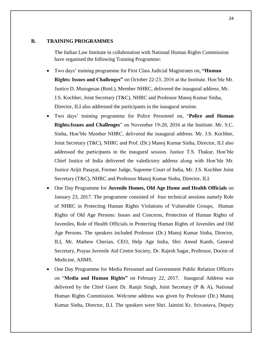# **B. TRAINING PROGRAMMES**

The Indian Law Institute in collaboration with National Human Rights Commission have organised the following Training Programme:

- Two days' training programme for First Class Judicial Magistrates on, **"Human Rights: Issues and Challenges"** on October 22-23, 2016 at the Institute. Hon'ble Mr. Justice D. Murugesan (Retd.), Member NHRC, delivered the inaugural address. Mr. J.S. Kochher, Joint Secretary (T&C), NHRC and Professor Manoj Kumar Sinha, Director, ILI also addressed the participants in the inaugural session.
- Two days' training programme for Police Personnel on, "**Police and Human Rights:Issues and Challenges**" on November 19-20, 2016 at the Institute. Mr. S.C. Sinha, Hon'ble Member NHRC, delivered the inaugural address. Mr. J.S. Kochher, Joint Secretary (T&C), NHRC and Prof. (Dr.) Manoj Kumar Sinha, Director, ILI also addressed the participants in the inaugural session. Justice T.S. Thakur, Hon'ble Chief Justice of India delivered the valedictory address along with Hon'ble Mr. Justice Arijit Pasayat, Former Judge, Supreme Court of India, Mr. J.S. Kochher Joint Secretary (T&C), NHRC and Professor Manoj Kumar Sinha, Director, ILI.
- One Day Programme for **Juvenile Homes, Old Age Home and Health Officials** on January 23, 2017. The programme consisted of four technical sessions namely Role of NHRC in Protecting Human Rights Violations of Vulnerable Groups, Human Rights of Old Age Persons: Issues and Concerns, Protection of Human Rights of Juveniles, Role of Health Officials in Protecting Human Rights of Juveniles and Old Age Persons. The speakers included Professor (Dr.) Manoj Kumar Sinha, Director, ILI, Mr. Mathew Cherian, CEO, Help Age India, Shri Amod Kanth, General Secretary, Prayas Juvenile Aid Centre Society, Dr. Rajesh Sagar, Professor, Doctor of Medicine, AIIMS.
- One Day Programme for Media Personnel and Government Public Relation Officers on "**Media and Human Rights"** on February 22, 2017.Inaugural Address was delivered by the Chief Guest Dr. Ranjit Singh, Joint Secretary (P & A), National Human Rights Commission. Welcome address was given by Professor (Dr.) Manoj Kumar Sinha, Director, ILI. The speakers were Shri. Jaimini Kr. Srivastava, Deputy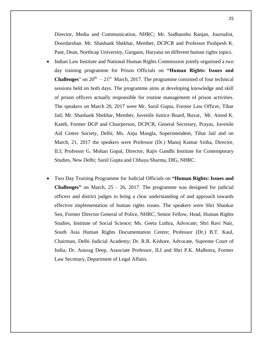Director, Media and Communication, NHRC; Mr. Sudhanshu Ranjan, Journalist, Doordarshan. Mr. Shashank Shekhar, Member, DCPCR and Professor Pushpesh K. Pant, Dean, Northcap University, Gurgaon, Haryana on different human rights topics.

- Indian Law Institute and National Human Rights Commission jointly organised a two day training programme for Prison Officials on **"Human Rights: Issues and Challenges**" on  $20^{th} - 21^{st}$  March, 2017. The programme consisted of four technical sessions held on both days. The programme aims at developing knowledge and skill of prison officers actually responsible for routine management of prison activities. The speakers on March 20, 2017 were Mr. Sunil Gupta, Former Law Officer, Tihar Jail; Mr. Shashank Shekhar, Member, Juvenile Justice Board, Buxar, Mr. Amod K. Kanth, Former DGP and Chairperson, DCPCR, General Secretary, Prayas, Juvenile Aid Centre Society, Delhi; Ms. Anju Mangla, Superintendent, Tihar Jail and on March, 21, 2017 the speakers were Professor (Dr.) Manoj Kumar Sinha, Director, ILI; Professor G. Mohan Gopal, Director, Rajiv Gandhi Institute for Contemporary Studies, New Delhi; Sunil Gupta and Chhaya Sharma, DIG, NHRC.
- Two Day Training Programme for Judicial Officials on **"Human Rights: Issues and Challenges"** on March, 25 – 26, 2017. The programme was designed for judicial officers and district judges to bring a clear understanding of and approach towards effective implementation of human rights issues. The speakers were Shri Shankar Sen, Former Director General of Police, NHRC, Senior Fellow, Head, Human Rights Studies, Institute of Social Science; Ms. Geeta Luthra, Advocate; Shri Ravi Nair, South Asia Human Rights Documentation Centre; Professor (Dr.) B.T. Kaul, Chairman, Delhi Judicial Academy; Dr. R.R. Kishore, Advocate, Supreme Court of India; Dr. Anurag Deep, Associate Professor, ILI and Shri P.K. Malhotra, Former Law Secretary, Department of Legal Affairs.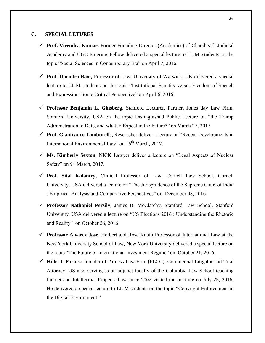# **C. SPECIAL LETURES**

- **Prof. Virendra Kumar,** Former Founding Director (Academics) of Chandigarh Judicial Academy and UGC Emeritus Fellow delivered a special lecture to LL.M. students on the topic "Social Sciences in Contemporary Era" on April 7, 2016.
- **Prof. Upendra Baxi,** Professor of Law, University of Warwick, UK delivered a special lecture to LL.M. students on the topic "Institutional Sanctity versus Freedom of Speech and Expression: Some Critical Perspective" on April 6, 2016.
- **Professor Benjamin L. Ginsberg**, Stanford Lecturer, Partner, Jones day Law Firm, Stanford University, USA on the topic Distinguished Public Lecture on "the Trump Administration to Date, and what to Expect in the Future?" on March 27, 2017.
- **Prof. Gianfranco Tamburells**, Researcher deliver a lecture on "Recent Developments in International Environmental Law" on 16<sup>th</sup> March, 2017.
- **Ms. Kimberly Sexton**, NICK Lawyer deliver a lecture on "Legal Aspects of Nuclear Safety" on 9<sup>th</sup> March, 2017.
- **Prof. Sital Kalantry**, Clinical Professor of Law, Cornell Law School, Cornell University, USA delivered a lecture on "The Jurisprudence of the Supreme Court of India : Empirical Analysis and Comparative Perspectives" on December 08, 2016
- **Professor Nathaniel Persily**, James B. McClatchy, Stanford Law School, Stanford University, USA delivered a lecture on "US Elections 2016 : Understanding the Rhetoric and Reality" on October 26, 2016
- **Professor Alvarez Jose**, Herbert and Rose Rubin Professor of International Law at the New York University School of Law, New York University delivered a special lecture on the topic "The Future of International Investment Regime" on October 21, 2016.
- **Hillel I. Parness** founder of Parness Law Firm (PLCC), Commercial Litigator and Trial Attorney, US also serving as an adjunct faculty of the Columbia Law School teaching Inernet and Intellectual Property Law since 2002 visited the Institute on July 25, 2016. He delivered a special lecture to LL.M students on the topic "Copyright Enforcement in the Digital Environment."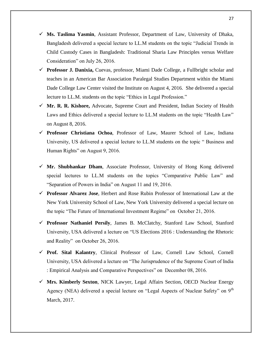- **Ms. Taslima Yasmin**, Assistant Professor, Department of Law, University of Dhaka, Bangladesh delivered a special lecture to LL.M students on the topic "Judicial Trends in Child Custody Cases in Bangladesh: Traditional Sharia Law Principles versus Welfare Consideration" on July 26, 2016.
- **Professor J. Danixia,** Cuevas, professor, Miami Dade College, a Fullbright scholar and teaches in an American Bar Association Paralegal Studies Department within the Miami Dade College Law Center visited the Institute on August 4, 2016. She delivered a special lecture to LL.M. students on the topic "Ethics in Legal Profession."
- **Mr. R. R. Kishore,** Advocate, Supreme Court and President, Indian Society of Health Laws and Ethics delivered a special lecture to LL.M students on the topic "Health Law" on August 8, 2016.
- **Professor Christiana Ochoa**, Professor of Law, Maurer School of Law, Indiana University, US delivered a special lecture to LL.M students on the topic " Business and Human Rights" on August 9, 2016.
- **Mr. Shubhankar Dham**, Associate Professor, University of Hong Kong delivered special lectures to LL.M students on the topics "Comparative Public Law" and "Separation of Powers in India" on August 11 and 19, 2016.
- **Professor Alvarez Jose**, Herbert and Rose Rubin Professor of International Law at the New York University School of Law, New York University delivered a special lecture on the topic "The Future of International Investment Regime" on October 21, 2016.
- **Professor Nathaniel Persily**, James B. McClatchy, Stanford Law School, Stanford University, USA delivered a lecture on "US Elections 2016 : Understanding the Rhetoric and Reality" on October 26, 2016.
- **Prof. Sital Kalantry**, Clinical Professor of Law, Cornell Law School, Cornell University, USA delivered a lecture on "The Jurisprudence of the Supreme Court of India : Empirical Analysis and Comparative Perspectives" on December 08, 2016.
- **Mrs. Kimberly Sexton**, NICK Lawyer, Legal Affairs Section, OECD Nuclear Energy Agency (NEA) delivered a special lecture on "Legal Aspects of Nuclear Safety" on  $9<sup>th</sup>$ March, 2017.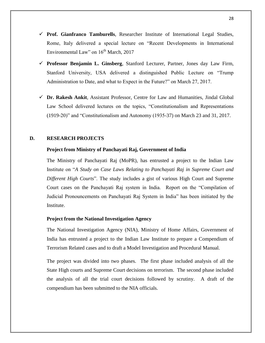- **Prof. Gianfranco Tamburells**, Researcher Institute of International Legal Studies, Rome, Italy delivered a special lecture on "Recent Developments in International Environmental Law" on  $16^{th}$  March, 2017
- **Professor Benjamin L. Ginsberg**, Stanford Lecturer, Partner, Jones day Law Firm, Stanford University, USA delivered a distinguished Public Lecture on "Trump Administration to Date, and what to Expect in the Future?" on March 27, 2017.
- **Dr. Rakesh Ankit**, Assistant Professor, Centre for Law and Humanities, Jindal Global Law School delivered lectures on the topics, "Constitutionalism and Representations (1919-20)" and "Constitutionalism and Autonomy (1935-37) on March 23 and 31, 2017.

# **D. RESEARCH PROJECTS**

# **Project from Ministry of Panchayati Raj, Government of India**

The Ministry of Panchayati Raj (MoPR), has entrusted a project to the Indian Law Institute on "*A Study on Case Laws Relating to Panchayati Raj in Supreme Court and Different High Courts*". The study includes a gist of various High Court and Supreme Court cases on the Panchayati Raj system in India. Report on the "Compilation of Judicial Pronouncements on Panchayati Raj System in India" has been initiated by the Institute.

# **Project from the National Investigation Agency**

The National Investigation Agency (NIA), Ministry of Home Affairs, Government of India has entrusted a project to the Indian Law Institute to prepare a Compendium of Terrorism Related cases and to draft a Model Investigation and Procedural Manual.

The project was divided into two phases. The first phase included analysis of all the State High courts and Supreme Court decisions on terrorism. The second phase included the analysis of all the trial court decisions followed by scrutiny. A draft of the compendium has been submitted to the NIA officials.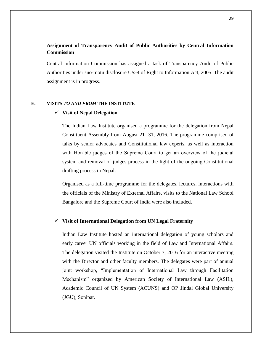# **Assignment of Transparency Audit of Public Authorities by Central Information Commission**

Central Information Commission has assigned a task of Transparency Audit of Public Authorities under suo-motu disclosure U/s-4 of Right to Information Act, 2005. The audit assignment is in progress.

# **E. VISITS** *TO AND FROM* **THE INSTITUTE**

# **Visit of Nepal Delegation**

The Indian Law Institute organised a programme for the delegation from Nepal Constituent Assembly from August 21- 31, 2016. The programme comprised of talks by senior advocates and Constitutional law experts, as well as interaction with Hon'ble judges of the Supreme Court to get an overview of the judicial system and removal of judges process in the light of the ongoing Constitutional drafting process in Nepal.

Organised as a full-time programme for the delegates, lectures, interactions with the officials of the Ministry of External Affairs, visits to the National Law School Bangalore and the Supreme Court of India were also included.

# **Visit of International Delegation from UN Legal Fraternity**

Indian Law Institute hosted an international delegation of young scholars and early career UN officials working in the field of Law and International Affairs. The delegation visited the Institute on October 7, 2016 for an interactive meeting with the Director and other faculty members. The delegates were part of annual joint workshop, "Implementation of International Law through Facilitation Mechanism" organized by American Society of International Law (ASIL), Academic Council of UN System (ACUNS) and OP Jindal Global University (JGU), Sonipat.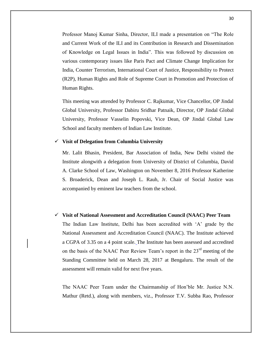Professor Manoj Kumar Sinha, Director, ILI made a presentation on "The Role and Current Work of the ILI and its Contribution in Research and Dissemination of Knowledge on Legal Issues in India". This was followed by discussion on various contemporary issues like Paris Pact and Climate Change Implication for India, Counter Terrorism, International Court of Justice, Responsibility to Protect (R2P), Human Rights and Role of Supreme Court in Promotion and Protection of Human Rights.

This meeting was attended by Professor C. Rajkumar, Vice Chancellor, OP Jindal Global University, Professor Dabiru Sridhar Patnaik, Director, OP Jindal Global University, Professor Vasselin Popovski, Vice Dean, OP Jindal Global Law School and faculty members of Indian Law Institute.

# **Visit of Delegation from Columbia University**

Mr. Lalit Bhasin, President, Bar Association of India, New Delhi visited the Institute alongwith a delegation from University of District of Columbia, David A. Clarke School of Law, Washington on November 8, 2016 Professor Katherine S. Broaderick, Dean and Joseph L. Rauh, Jr. Chair of Social Justice was accompanied by eminent law teachers from the school.

 **Visit of National Assessment and Accreditation Council (NAAC) Peer Team** The Indian Law Institute, Delhi has been accredited with 'A' grade by the National Assessment and Accreditation Council (NAAC). The Institute achieved a CGPA of 3.35 on a 4 point scale. The Institute has been assessed and accredited on the basis of the NAAC Peer Review Team's report in the 23<sup>rd</sup> meeting of the Standing Committee held on March 28, 2017 at Bengaluru. The result of the assessment will remain valid for next five years.

The NAAC Peer Team under the Chairmanship of Hon'ble Mr. Justice N.N. Mathur (Retd.), along with members, viz., Professor T.V. Subba Rao, Professor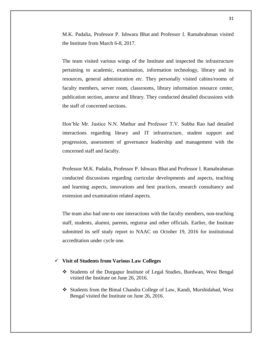M.K. Padalia, Professor P. Ishwara Bhat and Professor I. Ramabrahman visited the Institute from March 6-8, 2017.

The team visited various wings of the Institute and inspected the infrastructure pertaining to academic, examination, information technology, library and its resources, general administration *etc*. They personally visited cabins/rooms of faculty members, server room, classrooms, library information resource center, publication section, annexe and library. They conducted detailed discussions with the staff of concerned sections.

Hon'ble Mr. Justice N.N. Mathur and Professor T.V. Subba Rao had detailed interactions regarding library and IT infrastructure, student support and progression, assessment of governance leadership and management with the concerned staff and faculty.

Professor M.K. Padalia, Professor P. Ishwara Bhat and Professor I. Ramabrahman conducted discussions regarding curricular developments and aspects, teaching and learning aspects, innovations and best practices, research consultancy and extension and examination related aspects.

The team also had one-to one interactions with the faculty members, non-teaching staff, students, alumni, parents, registrar and other officials*.* Earlier, the Institute submitted its self study report to NAAC on October 19, 2016 for institutional accreditation under cycle one.

#### **Visit of Students from Various Law Colleges**

- Students of the Durgapur Institute of Legal Studies, Burdwan, West Bengal visited the Institute on June 26, 2016.
- Students from the Bimal Chandra College of Law, Kandi, Murshidabad, West Bengal visited the Institute on June 26, 2016.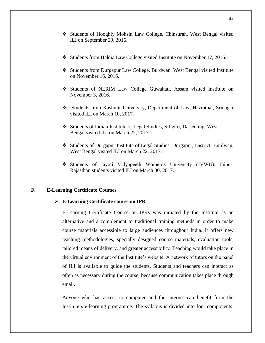- Students of Hooghly Mohsin Law College, Chinsurah, West Bengal visited ILI on September 29, 2016.
- Students from Haldia Law College visited Institute on November 17, 2016.
- Students from Durgapur Law College, Burdwan, West Bengal visited Institute on November 16, 2016.
- Students of NERIM Law College Guwahati, Assam visited Institute on November 3, 2016.
- Students from Kashmir University, Department of Law, Hazratbal, Srinagar visited ILI on March 10, 2017.
- Students of Indian Institute of Legal Studies, Siliguri, Darjeeling, West Bengal visited ILI on March 22, 2017.
- Students of Durgapur Institute of Legal Studies, Durgapur, District, Burdwan, West Bengal visited ILI on March 22, 2017.
- Students of Jayoti Vidyapeeth Women's University (JVWU), Jaipur, Rajasthan students visited ILI on March 30, 2017.

# **F. E-Learning Certificate Courses**

#### **E-Learning Certificate course on IPR**

E-Learning Certificate Course on IPRs was initiated by the Institute as an alternative and a complement to traditional training methods in order to make course materials accessible to large audiences throughout India. It offers new teaching methodologies, specially designed course materials, evaluation tools, tailored means of delivery, and greater accessibility. Teaching would take place in the virtual environment of the Institute's website. A network of tutors on the panel of ILI is available to guide the students. Students and teachers can interact as often as necessary during the course, because communication takes place through email.

Anyone who has access to computer and the internet can benefit from the Institute's e-learning programme. The syllabus is divided into four components: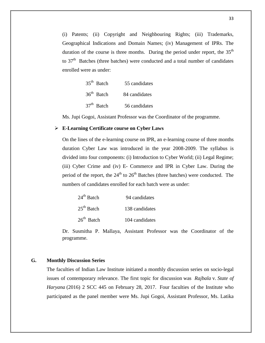(i) Patents; (ii) Copyright and Neighbouring Rights; (iii) Trademarks, Geographical Indications and Domain Names; (iv) Management of IPRs. The duration of the course is three months. During the period under report, the  $35<sup>th</sup>$ to  $37<sup>th</sup>$  Batches (three batches) were conducted and a total number of candidates enrolled were as under:

| $35th$ Batch | 55 candidates |
|--------------|---------------|
| $36th$ Batch | 84 candidates |
| $37th$ Batch | 56 candidates |

Ms. Jupi Gogoi, Assistant Professor was the Coordinator of the programme.

### **E-Learning Certificate course on Cyber Laws**

On the lines of the e-learning course on IPR, an e-learning course of three months duration Cyber Law was introduced in the year 2008-2009. The syllabus is divided into four components: (i) Introduction to Cyber World; (ii) Legal Regime; (iii) Cyber Crime and (iv) E- Commerce and IPR in Cyber Law. During the period of the report, the  $24<sup>th</sup>$  to  $26<sup>th</sup>$  Batches (three batches) were conducted. The numbers of candidates enrolled for each batch were as under:

| $24th$ Batch | 94 candidates  |
|--------------|----------------|
| $25th$ Batch | 138 candidates |
| $26th$ Batch | 104 candidates |

Dr. Susmitha P. Mallaya, Assistant Professor was the Coordinator of the programme.

# **G. Monthly Discussion Series**

The faculties of Indian Law Institute initiated a monthly discussion series on socio-legal issues of contemporary relevance. The first topic for discussion was *Rajbala* v. *State of Haryana* (2016) 2 SCC 445 on February 28, 2017. Four faculties of the Institute who participated as the panel member were Ms. Jupi Gogoi, Assistant Professor, Ms. Latika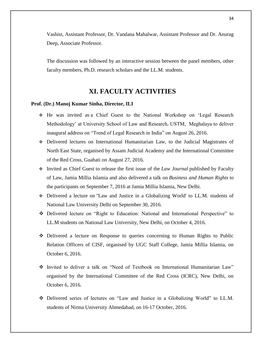Vashist, Assistant Professor, Dr. Vandana Mahalwar, Assistant Professor and Dr. Anurag Deep, Associate Professor.

The discussion was followed by an interactive session between the panel members, other faculty members, Ph.D. research scholars and the LL.M. students.

# **XI. FACULTY ACTIVITIES**

#### **Prof. (Dr.) Manoj Kumar Sinha, Director, ILI**

- He was invited as a Chief Guest to the National Workshop on 'Legal Research Methodology' at University School of Law and Research, USTM, Meghalaya to deliver inaugural address on "Trend of Legal Research in India" on August 26, 2016.
- Delivered lectures on International Humanitarian Law, to the Judicial Magistrates of North East State, organised by Assam Judicial Academy and the International Committee of the Red Cross, Guahati on August 27, 2016.
- Invited as Chief Guest to release the first issue of the *Law Journal* published by Faculty of Law, Jamia Millia Islamia and also delivered a talk on *Business and Human Rights* to the participants on September 7, 2016 at Jamia Millia Islamia, New Delhi.
- Delivered a lecture on ''Law and Justice in a Globalizing World' to LL.M. students of National Law University Delhi on September 30, 2016.
- Delivered lecture on "Right to Education: National and International Perspective" to LL.M students on National Law University, New Delhi, on October 4, 2016.
- Delivered a lecture on Response to queries concerning to Human Rights to Public Relation Officers of CISF, organised by UGC Staff College, Jamia Millia Islamia, on October 6, 2016.
- Invited to deliver a talk on "Need of Textbook on International Humanitarian Law" organised by the International Committee of the Red Cross (ICRC), New Delhi, on October 6, 2016.
- Delivered series of lectures on "Law and Justice in a Globalizing World" to LL.M. students of Nirma University Ahmedabad, on 16-17 October, 2016.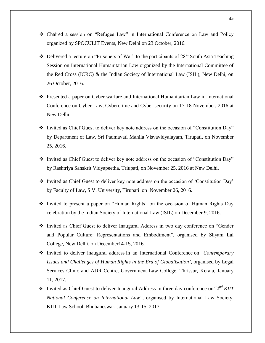- Chaired a session on "Refugee Law" in International Conference on Law and Policy organized by SPOCULIT Events, New Delhi on 23 October, 2016.
- $\cdot \cdot$  Delivered a lecture on "Prisoners of War" to the participants of 28<sup>th</sup> South Asia Teaching Session on International Humanitarian Law organized by the International Committee of the Red Cross (ICRC) & the Indian Society of International Law (ISIL), New Delhi, on 26 October, 2016.
- Presented a paper on Cyber warfare and International Humanitarian Law in International Conference on Cyber Law, Cybercrime and Cyber security on 17-18 November, 2016 at New Delhi.
- \* Invited as Chief Guest to deliver key note address on the occasion of "Constitution Day" by Department of Law, Sri Padmavati Mahila Visvavidyalayam, Tirupati, on November 25, 2016.
- \* Invited as Chief Guest to deliver key note address on the occasion of "Constitution Day" by Rashtriya Sanskrit Vidyapeetha, Triupati, on November 25, 2016 at New Delhi.
- Invited as Chief Guest to deliver key note address on the occasion of 'Constitution Day' by Faculty of Law, S.V. University, Tirupati on November 26, 2016.
- Invited to present a paper on "Human Rights" on the occasion of Human Rights Day celebration by the Indian Society of International Law (ISIL) on December 9, 2016.
- Invited as Chief Guest to deliver Inaugural Address in two day conference on "Gender and Popular Culture: Representations and Embodiment", organised by Shyam Lal College, New Delhi, on December14-15, 2016.
- Invited to deliver inaugural address in an International Conference on *'Contemporary Issues and Challenges of Human Rights in the Era of Globalisation'*, organised by Legal Services Clinic and ADR Centre, Government Law College, Thrissur, Kerala, January 11, 2017.
- Invited as Chief Guest to deliver Inaugural Address in three day conference on*"2nd KIIT National Conference on International Law*", organised by International Law Society, KIIT Law School, Bhubaneswar, January 13-15, 2017.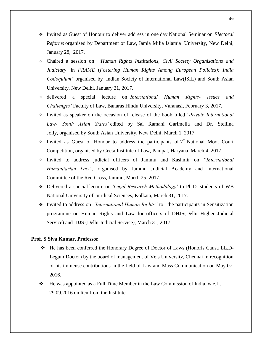- Invited as Guest of Honour to deliver address in one day National Seminar on *Electoral Reforms* organised by Department of Law, Jamia Milia Islamia University, New Delhi, January 28, 2017.
- Chaired a session on "*Human Rights Institutions, Civil Society Organisations and Judiciary* in *FRAME* (*Fostering Human Rights Among European Policies): India Colloquium"* organised by Indian Society of International Law(ISIL) and South Asian University, New Delhi, January 31, 2017.
- delivered a special lecture on *'International Human Rights- Issues and Challenges'* Faculty of Law, Banaras Hindu University, Varanasi, February 3, 2017.
- Invited as speaker on the occasion of release of the book titled '*Private International Law- South Asian States'* edited by Sai Ramani Garimella and Dr. Stellina Jolly, organised by South Asian University, New Delhi, March 1, 2017.
- $\div$  Invited as Guest of Honour to address the participants of  $7<sup>th</sup>$  National Moot Court Competition, organised by Geeta Institute of Law, Panipat, Haryana, March 4, 2017.
- Invited to address judicial officers of Jammu and Kashmir on *"International Humanitarian Law",* organised by Jammu Judicial Academy and International Committee of the Red Cross, Jammu, March 25, 2017.
- Delivered a special lecture on *'Legal Research Methodology'* to Ph.D. students of WB National University of Juridical Sciences, Kolkata, March 31, 2017.
- Invited to address on *"International Human Rights"* to the participants in Sensitization programme on Human Rights and Law for officers of DHJS(Delhi Higher Judicial Service) and DJS (Delhi Judicial Service), March 31, 2017.

# **Prof. S Siva Kumar, Professor**

- He has been conferred the Honorary Degree of Doctor of Laws (Honoris Causa LL.D-Legum Doctor) by the board of management of Vels University, Chennai in recognition of his immense contributions in the field of Law and Mass Communication on May 07, 2016.
- $\div$  He was appointed as a Full Time Member in the Law Commission of India, w.e.f., 29.09.2016 on lien from the Institute.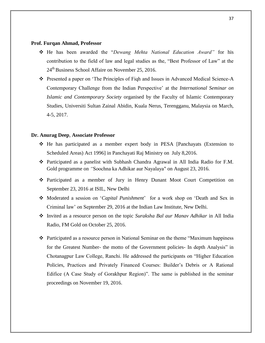#### **Prof. Furqan Ahmad, Professor**

- He has been awarded the "*Dewang Mehta National Education Award"* for his contribution to the field of law and legal studies as the, "Best Professor of Law" at the 24<sup>th</sup> Business School Affaire on November 25, 2016.
- Presented a paper on 'The Principles of Fiqh and Issues in Advanced Medical Science-A Contemporary Challenge from the Indian Perspective' at the *International Seminar on Islamic and Contemporary Society* organised by the Faculty of Islamic Contemporary Studies, Universiti Sultan Zainal Abidin, Kuala Nerus, Terengganu, Malaysia on March, 4-5, 2017.

#### **Dr. Anurag Deep**, **Associate Professor**

- He has participated as a member expert body in PESA [Panchayats (Extension to Scheduled Areas) Act 1996] in Panchayati Raj Ministry on July 8,2016.
- Participated as a panelist with Subhash Chandra Agrawal in All India Radio for F.M. Gold programme on *"*Soochna ka Adhikar aur Nayalaya" on August 23, 2016.
- Participated as a member of Jury in Henry Dunant Moot Court Competition on September 23, 2016 at ISIL, New Delhi
- Moderated a session on '*Capital Punishment*' for a work shop on 'Death and Sex in Criminal law' on September 29, 2016 at the Indian Law Institute, New Delhi.
- Invited as a resource person on the topic *Suraksha Bal aur Manav Adhikar* in All India Radio, FM Gold on October 25, 2016.
- Participated as a resource person in National Seminar on the theme "Maximum happiness for the Greatest Number- the motto of the Government policies- In depth Analysis" in Chotanagpur Law College, Ranchi. He addressed the participants on "Higher Education Policies, Practices and Privately Financed Courses: Builder's Debris or A Rational Edifice (A Case Study of Gorakhpur Region)". The same is published in the seminar proceedings on November 19, 2016.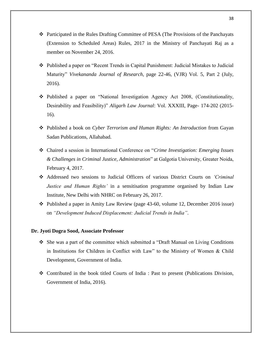- Participated in the Rules Drafting Committee of PESA (The Provisions of the Panchayats (Extension to Scheduled Areas) Rules, 2017 in the Ministry of Panchayati Raj as a member on November 24, 2016.
- Published a paper on "Recent Trends in Capital Punishment: Judicial Mistakes to Judicial Maturity" *Vivekananda Journal of Research*, page 22-46, (VJR) Vol. 5, Part 2 (July, 2016).
- Published a paper on "National Investigation Agency Act 2008, (Constitutionality, Desirability and Feasibility)" *Aligarh Law Journal*: Vol. XXXIII, Page- 174-202 (2015- 16).
- **◆** Published a book on *Cyber Terrorism and Human Rights: An Introduction* from Gayan Sadan Publications, Allahabad.
- Chaired a session in International Conference on "*Crime Investigation: Emerging Issues & Challenges in Criminal Justice, Administration*" at Galgotia University, Greater Noida, February 4, 2017.
- Addressed two sessions to Judicial Officers of various District Courts on *'Criminal Justice and Human Rights'* in a sensitisation programme organised by Indian Law Institute, New Delhi with NHRC on February 26, 2017.
- Published a paper in Amity Law Review (page 43-60, volume 12, December 2016 issue) on *"Development Induced Displacement: Judicial Trends in India"*.

# **Dr. Jyoti Dogra Sood, Associate Professor**

- She was a part of the committee which submitted a "Draft Manual on Living Conditions in Institutions for Children in Conflict with Law" to the Ministry of Women & Child Development, Government of India.
- Contributed in the book titled Courts of India : Past to present (Publications Division, Government of India, 2016).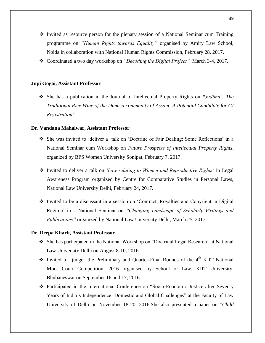- $\cdot$  Invited as resource person for the plenary session of a National Seminar cum Training programme on *"Human Rights towards Equality"* organised by Amity Law School, Noida in collaboration with National Human Rights Commission, February 28, 2017.
- Coordinated a two day workshop on *"Decoding the Digital Project",* March 3-4, 2017.

### **Jupi Gogoi, Assistant Professor**

 She has a publication in the Journal of Intellectual Property Rights on *"Judima'- The Traditional Rice Wine of the Dimasa community of Assam: A Potential Candidate for GI Registration".*

# **Dr. Vandana Mahalwar, Assistant Professor**

- She was invited to deliver a talk on 'Doctrine of Fair Dealing: Some Reflections' in a National Seminar cum Workshop on *Future Prospects of Intellectual Property Rights*, organized by BPS Women University Sonipat, February 7, 2017.
- Invited to deliver a talk on *'Law relating to Women and Reproductive Rights'* in Legal Awareness Program organized by Centre for Comparative Studies in Personal Laws, National Law University Delhi, February 24, 2017.
- Invited to be a discussant in a session on 'Contract, Royalties and Copyright in Digital Regime' in a National Seminar on *"Changing Landscape of Scholarly Writings and Publications"* organized by National Law University Delhi, March 25, 2017.

#### **Dr. Deepa Kharb, Assistant Professor**

- She has participated in the National Workshop on "Doctrinal Legal Research" at National Law University Delhi on August 8-10, 2016.
- \* Invited to judge the Preliminary and Quarter-Final Rounds of the 4<sup>th</sup> KIIT National Moot Court Competition, 2016 organised by School of Law, KIIT University, Bhubaneswar on September 16 and 17, 2016.
- Participated in the International Conference on "Socio-Economic Justice after Seventy Years of India's Independence: Domestic and Global Challenges" at the Faculty of Law University of Delhi on November 18-20, 2016.She also presented a paper on *"Child*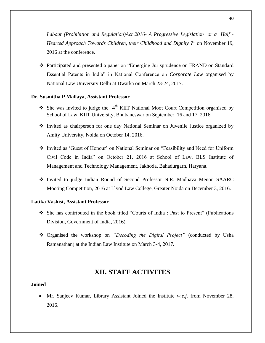*Labour (Prohibition and Regulation)Act 2016- A Progressive Legislation or a Half - Hearted Approach Towards Children, their Childhood and Dignity ?"* on November 19, 2016 at the conference.

 Participated and presented a paper on "Emerging Jurisprudence on FRAND on Standard Essential Patents in India" in National Conference on *Corporate Law* organised by National Law University Delhi at Dwarka on March 23-24, 2017.

# **Dr. Susmitha P Mallaya, Assistant Professor**

- $\bullet$  She was invited to judge the 4<sup>th</sup> KIIT National Moot Court Competition organised by School of Law, KIIT University, Bhubaneswar on September 16 and 17, 2016.
- Invited as chairperson for one day National Seminar on Juvenile Justice organized by Amity University, Noida on October 14, 2016.
- Invited as 'Guest of Honour' on National Seminar on "Feasibility and Need for Uniform Civil Code in India" on October 21, 2016 at School of Law, BLS Institute of Management and Technology Management, Jakhoda, Bahadurgarh, Haryana.
- \* Invited to judge Indian Round of Second Professor N.R. Madhava Menon SAARC Mooting Competition, 2016 at Llyod Law College, Greater Noida on December 3, 2016.

#### **Latika Vashist, Assistant Professor**

- She has contributed in the book titled "Courts of India : Past to Present" (Publications Division, Government of India, 2016).
- Organised the workshop on *"Decoding the Digital Project"* (conducted by Usha Ramanathan) at the Indian Law Institute on March 3-4, 2017.

# **XII. STAFF ACTIVITES**

# **Joined**

 Mr. Sanjeev Kumar, Library Assistant Joined the Institute *w.e.f.* from November 28, 2016.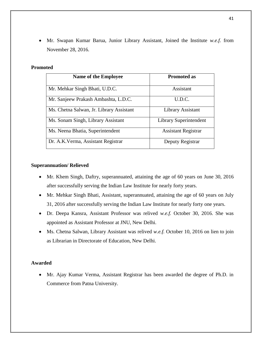Mr. Swapan Kumar Barua, Junior Library Assistant, Joined the Institute *w.e.f.* from November 28, 2016.

# **Promoted**

| <b>Name of the Employee</b>              | <b>Promoted as</b>         |
|------------------------------------------|----------------------------|
| Mr. Mehkar Singh Bhati, U.D.C.           | Assistant                  |
| Mr. Sanjeew Prakash Ambashta, L.D.C.     | U.D.C.                     |
| Ms. Chetna Salwan, Jr. Library Assistant | Library Assistant          |
| Ms. Sonam Singh, Library Assistant       | Library Superintendent     |
| Ms. Neena Bhatia, Superintendent         | <b>Assistant Registrar</b> |
| Dr. A.K. Verma, Assistant Registrar      | Deputy Registrar           |

# **Superannuation/ Relieved**

- Mr. Khem Singh, Daftry, superannuated, attaining the age of 60 years on June 30, 2016 after successfully serving the Indian Law Institute for nearly forty years.
- Mr. Mehkar Singh Bhati, Assistant, superannuated, attaining the age of 60 years on July 31, 2016 after successfully serving the Indian Law Institute for nearly forty one years.
- Dr. Deepa Kansra, Assistant Professor was relived *w.e.f.* October 30, 2016. She was appointed as Assistant Professor at JNU, New Delhi.
- Ms. Chetna Salwan, Library Assistant was relived *w.e.f.* October 10, 2016 on lien to join as Librarian in Directorate of Education, New Delhi.

# **Awarded**

 Mr. Ajay Kumar Verma, Assistant Registrar has been awarded the degree of Ph.D. in Commerce from Patna University.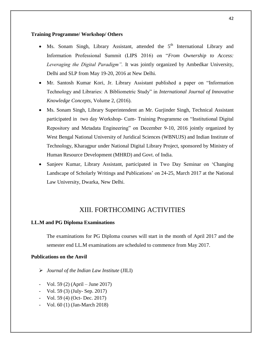# **Training Programme/ Workshop/ Others**

- Ms. Sonam Singh, Library Assistant, attended the  $5<sup>th</sup>$  International Library and Information Professional Summit (LIPS 2016) on "*From Ownership to Access: Leveraging the Digital Paradigm".* It was jointly organized by Ambedkar University, Delhi and SLP from May 19-20, 2016 at New Delhi.
- Mr. Santosh Kumar Kori, Jr. Library Assistant published a paper on "Information Technology and Libraries: A Bibliometric Study" in *International Journal of Innovative Knowledge Concepts,* Volume 2, (2016).
- Ms. Sonam Singh, Library Superintendent an Mr. Gurjinder Singh, Technical Assistant participated in two day Workshop- Cum- Training Programme on "Institutional Digital Repository and Metadata Engineering" on December 9-10, 2016 jointly organized by West Bengal National University of Juridical Sciences (WBNUJS) and Indian Institute of Technology, Kharagpur under National Digital Library Project, sponsored by Ministry of Human Resource Development (MHRD) and Govt. of India.
- Sanjeev Kumar, Library Assistant, participated in Two Day Seminar on 'Changing Landscape of Scholarly Writings and Publications' on 24-25, March 2017 at the National Law University, Dwarka, New Delhi.

# XIII. FORTHCOMING ACTIVITIES

# **LL.M and PG Diploma Examinations**

The examinations for PG Diploma courses will start in the month of April 2017 and the semester end LL.M examinations are scheduled to commence from May 2017.

# **Publications on the Anvil**

- *Journal of the Indian Law Institute* (JILI)
- Vol. 59 (2) (April June 2017)
- Vol. 59 (3) (July- Sep. 2017)
- Vol. 59 (4) (Oct- Dec. 2017)
- Vol. 60 (1) (Jan-March 2018)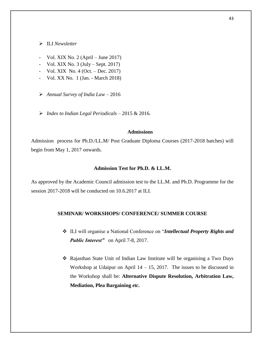ILI *Newsletter*

- Vol. XIX No. 2 (April June 2017)
- Vol. XIX No.  $3 \text{ (July Sept. 2017)}$
- Vol. XIX No.  $4$  (Oct. Dec. 2017)
- Vol. XX No. 1 (Jan. March 2018)
- *Annual Survey of India Law –* 2016
- *Index to Indian Legal Periodicals –* 2015 & 2016*.*

# **Admissions**

Admission process for Ph.D./LL.M/ Post Graduate Diploma Courses (2017-2018 batches) will begin from May 1, 2017 onwards.

# **Admission Test for Ph.D. & LL.M.**

As approved by the Academic Council admission test to the LL.M. and Ph.D. Programme for the session 2017-2018 will be conducted on 10.6.2017 at ILI.

#### **SEMINAR/ WORKSHOPS/ CONFERENCE/ SUMMER COURSE**

- ILI will organise a National Conference on "*Intellectual Property Rights and Public Interest"* on April 7-8, 2017.
- Rajasthan State Unit of Indian Law Institute will be organising a Two Days Workshop at Udaipur on April  $14 - 15$ , 2017. The issues to be discussed in the Workshop shall be: **Alternative Dispute Resolution, Arbitration Law, Mediation, Plea Bargaining** *etc.*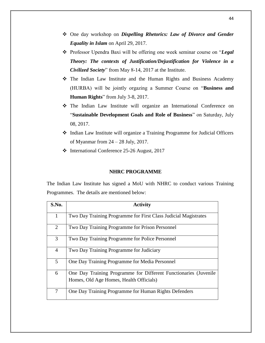- One day workshop on *Dispelling Rhetorics: Law of Divorce and Gender Equality in Islam* on April 29, 2017.
- Professor Upendra Baxi will be offering one week seminar course on "*Legal Theory: The contexts of Justification/Dejustification for Violence in a Civilized Society*" from May 8-14, 2017 at the Institute.
- The Indian Law Institute and the Human Rights and Business Academy (HURBA) will be jointly orgazing a Summer Course on "**Business and Human Rights**" from July 3-8, 2017.
- The Indian Law Institute will organize an International Conference on "**Sustainable Development Goals and Role of Business**" on Saturday, July 08, 2017.
- Indian Law Institute will organize a Training Programme for Judicial Officers of Myanmar from 24 – 28 July, 2017.
- International Conference 25-26 August, 2017

# **NHRC PROGRAMME**

The Indian Law Institute has signed a MoU with NHRC to conduct various Training Programmes. The details are mentioned below:

| S.No.          | <b>Activity</b>                                                  |
|----------------|------------------------------------------------------------------|
| 1              | Two Day Training Programme for First Class Judicial Magistrates  |
| $\overline{2}$ | Two Day Training Programme for Prison Personnel                  |
| 3              | Two Day Training Programme for Police Personnel                  |
| $\overline{4}$ | Two Day Training Programme for Judiciary                         |
| 5              | One Day Training Programme for Media Personnel                   |
| 6              | One Day Training Programme for Different Functionaries (Juvenile |
|                | Homes, Old Age Homes, Health Officials)                          |
| 7              | One Day Training Programme for Human Rights Defenders            |